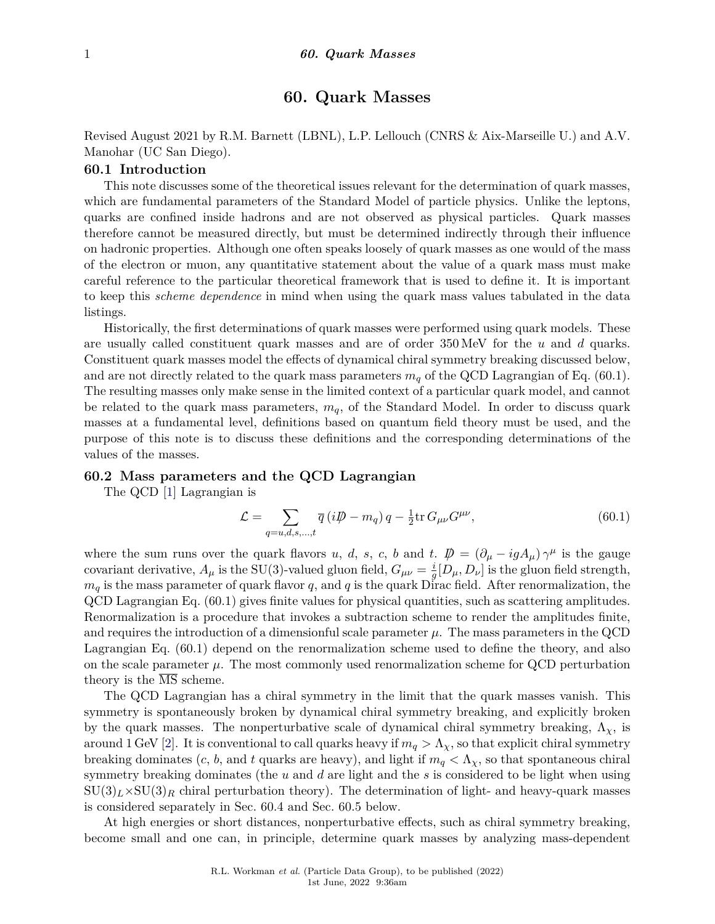# **60. Quark Masses**

Revised August 2021 by R.M. Barnett (LBNL), L.P. Lellouch (CNRS & Aix-Marseille U.) and A.V. Manohar (UC San Diego).

# **60.1 Introduction**

This note discusses some of the theoretical issues relevant for the determination of quark masses, which are fundamental parameters of the Standard Model of particle physics. Unlike the leptons, quarks are confined inside hadrons and are not observed as physical particles. Quark masses therefore cannot be measured directly, but must be determined indirectly through their influence on hadronic properties. Although one often speaks loosely of quark masses as one would of the mass of the electron or muon, any quantitative statement about the value of a quark mass must make careful reference to the particular theoretical framework that is used to define it. It is important to keep this *scheme dependence* in mind when using the quark mass values tabulated in the data listings.

Historically, the first determinations of quark masses were performed using quark models. These are usually called constituent quark masses and are of order 350 MeV for the *u* and *d* quarks. Constituent quark masses model the effects of dynamical chiral symmetry breaking discussed below, and are not directly related to the quark mass parameters  $m_q$  of the QCD Lagrangian of Eq. (60.1). The resulting masses only make sense in the limited context of a particular quark model, and cannot be related to the quark mass parameters, *mq*, of the Standard Model. In order to discuss quark masses at a fundamental level, definitions based on quantum field theory must be used, and the purpose of this note is to discuss these definitions and the corresponding determinations of the values of the masses.

# **60.2 Mass parameters and the QCD Lagrangian**

The QCD [\[1\]](#page-14-0) Lagrangian is

$$
\mathcal{L} = \sum_{q=u,d,s,...,t} \overline{q} \left( i \mathcal{D} - m_q \right) q - \frac{1}{2} \text{tr} \, G_{\mu\nu} G^{\mu\nu},\tag{60.1}
$$

where the sum runs over the quark flavors *u*, *d*, *s*, *c*, *b* and *t*.  $\vec{p} = (\partial_{\mu} - igA_{\mu}) \gamma^{\mu}$  is the gauge covariant derivative,  $A_{\mu}$  is the SU(3)-valued gluon field,  $G_{\mu\nu} = \frac{i}{a}$  $\frac{i}{g}[D_{\mu}, D_{\nu}]$  is the gluon field strength,  $m_q$  is the mass parameter of quark flavor  $q$ , and  $q$  is the quark Dirac field. After renormalization, the QCD Lagrangian Eq. (60.1) gives finite values for physical quantities, such as scattering amplitudes. Renormalization is a procedure that invokes a subtraction scheme to render the amplitudes finite, and requires the introduction of a dimensionful scale parameter  $\mu$ . The mass parameters in the QCD Lagrangian Eq. (60.1) depend on the renormalization scheme used to define the theory, and also on the scale parameter  $\mu$ . The most commonly used renormalization scheme for QCD perturbation theory is the  $\overline{\text{MS}}$  scheme.

The QCD Lagrangian has a chiral symmetry in the limit that the quark masses vanish. This symmetry is spontaneously broken by dynamical chiral symmetry breaking, and explicitly broken by the quark masses. The nonperturbative scale of dynamical chiral symmetry breaking,  $\Lambda_{\chi}$ , is around 1 GeV [\[2\]](#page-14-1). It is conventional to call quarks heavy if  $m_q > \Lambda_{\chi}$ , so that explicit chiral symmetry breaking dominates  $(c, b, \text{ and } t \text{ quarks are heavy}),$  and light if  $m_q < \Lambda_{\chi}$ , so that spontaneous chiral symmetry breaking dominates (the *u* and *d* are light and the *s* is considered to be light when using  $\text{SU}(3)_L \times \text{SU}(3)_R$  chiral perturbation theory). The determination of light- and heavy-quark masses is considered separately in Sec. 60.4 and Sec. 60.5 below.

At high energies or short distances, nonperturbative effects, such as chiral symmetry breaking, become small and one can, in principle, determine quark masses by analyzing mass-dependent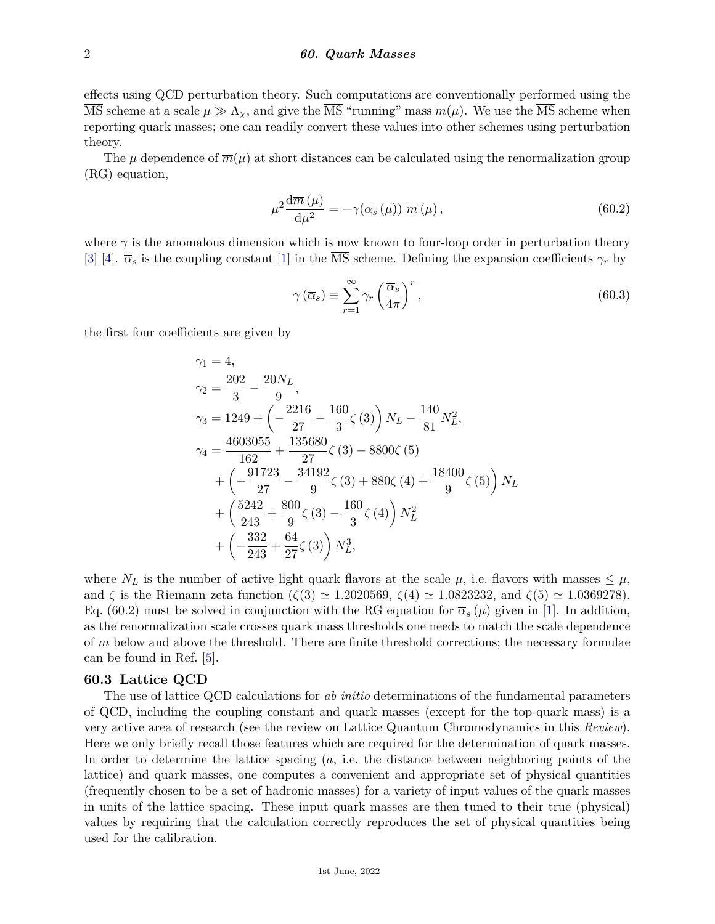effects using QCD perturbation theory. Such computations are conventionally performed using the  $\overline{\text{MS}}$  scheme at a scale  $\mu \gg \Lambda_{\chi}$ , and give the  $\overline{\text{MS}}$  "running" mass  $\overline{m}(\mu)$ . We use the  $\overline{\text{MS}}$  scheme when reporting quark masses; one can readily convert these values into other schemes using perturbation theory.

The  $\mu$  dependence of  $\overline{m}(\mu)$  at short distances can be calculated using the renormalization group (RG) equation,

$$
\mu^2 \frac{\mathrm{d}\overline{m}\left(\mu\right)}{\mathrm{d}\mu^2} = -\gamma(\overline{\alpha}_s\left(\mu\right)) \ \overline{m}\left(\mu\right),\tag{60.2}
$$

where  $\gamma$  is the anomalous dimension which is now known to four-loop order in perturbation theory [\[3\]](#page-14-2) [\[4\]](#page-14-3).  $\bar{\alpha}_s$  is the coupling constant [\[1\]](#page-14-0) in the  $\overline{\text{MS}}$  scheme. Defining the expansion coefficients  $\gamma_r$  by

$$
\gamma\left(\overline{\alpha}_{s}\right) \equiv \sum_{r=1}^{\infty} \gamma_{r} \left(\frac{\overline{\alpha}_{s}}{4\pi}\right)^{r},\tag{60.3}
$$

the first four coefficients are given by

$$
\gamma_1 = 4,
$$
  
\n
$$
\gamma_2 = \frac{202}{3} - \frac{20N_L}{9},
$$
  
\n
$$
\gamma_3 = 1249 + \left(-\frac{2216}{27} - \frac{160}{3}\zeta(3)\right)N_L - \frac{140}{81}N_L^2,
$$
  
\n
$$
\gamma_4 = \frac{4603055}{162} + \frac{135680}{27}\zeta(3) - 8800\zeta(5)
$$
  
\n
$$
+ \left(-\frac{91723}{27} - \frac{34192}{9}\zeta(3) + 880\zeta(4) + \frac{18400}{9}\zeta(5)\right)N_L
$$
  
\n
$$
+ \left(\frac{5242}{243} + \frac{800}{9}\zeta(3) - \frac{160}{3}\zeta(4)\right)N_L^2
$$
  
\n
$$
+ \left(-\frac{332}{243} + \frac{64}{27}\zeta(3)\right)N_L^3,
$$

where  $N_L$  is the number of active light quark flavors at the scale  $\mu$ , i.e. flavors with masses  $\leq \mu$ , and  $\zeta$  is the Riemann zeta function  $(\zeta(3) \simeq 1.2020569, \zeta(4) \simeq 1.0823232,$  and  $\zeta(5) \simeq 1.0369278$ . Eq. (60.2) must be solved in conjunction with the RG equation for  $\bar{\alpha}_s(\mu)$  given in [\[1\]](#page-14-0). In addition, as the renormalization scale crosses quark mass thresholds one needs to match the scale dependence of  $\overline{m}$  below and above the threshold. There are finite threshold corrections; the necessary formulae can be found in Ref. [\[5\]](#page-14-4).

# **60.3 Lattice QCD**

The use of lattice QCD calculations for *ab initio* determinations of the fundamental parameters of QCD, including the coupling constant and quark masses (except for the top-quark mass) is a very active area of research (see the review on Lattice Quantum Chromodynamics in this *Review*). Here we only briefly recall those features which are required for the determination of quark masses. In order to determine the lattice spacing (*a*, i.e. the distance between neighboring points of the lattice) and quark masses, one computes a convenient and appropriate set of physical quantities (frequently chosen to be a set of hadronic masses) for a variety of input values of the quark masses in units of the lattice spacing. These input quark masses are then tuned to their true (physical) values by requiring that the calculation correctly reproduces the set of physical quantities being used for the calibration.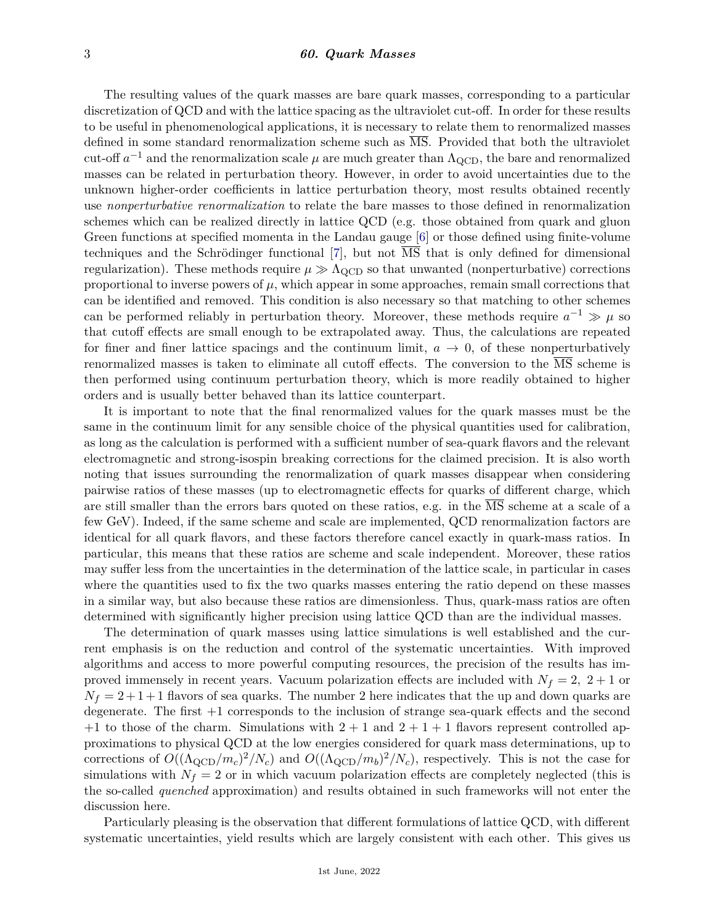#### 3 *60. Quark Masses*

The resulting values of the quark masses are bare quark masses, corresponding to a particular discretization of QCD and with the lattice spacing as the ultraviolet cut-off. In order for these results to be useful in phenomenological applications, it is necessary to relate them to renormalized masses defined in some standard renormalization scheme such as  $\overline{\text{MS}}$ . Provided that both the ultraviolet cut-off  $a^{-1}$  and the renormalization scale  $\mu$  are much greater than  $\Lambda_{\rm QCD}$ , the bare and renormalized masses can be related in perturbation theory. However, in order to avoid uncertainties due to the unknown higher-order coefficients in lattice perturbation theory, most results obtained recently use *nonperturbative renormalization* to relate the bare masses to those defined in renormalization schemes which can be realized directly in lattice QCD (e.g. those obtained from quark and gluon Green functions at specified momenta in the Landau gauge [\[6\]](#page-14-5) or those defined using finite-volume techniques and the Schrödinger functional [\[7\]](#page-14-6), but not  $\overline{MS}$  that is only defined for dimensional regularization). These methods require  $\mu \gg \Lambda_{\text{QCD}}$  so that unwanted (nonperturbative) corrections proportional to inverse powers of  $\mu$ , which appear in some approaches, remain small corrections that can be identified and removed. This condition is also necessary so that matching to other schemes can be performed reliably in perturbation theory. Moreover, these methods require  $a^{-1} \gg \mu$  so that cutoff effects are small enough to be extrapolated away. Thus, the calculations are repeated for finer and finer lattice spacings and the continuum limit,  $a \to 0$ , of these nonperturbatively renormalized masses is taken to eliminate all cutoff effects. The conversion to the MS scheme is then performed using continuum perturbation theory, which is more readily obtained to higher orders and is usually better behaved than its lattice counterpart.

It is important to note that the final renormalized values for the quark masses must be the same in the continuum limit for any sensible choice of the physical quantities used for calibration, as long as the calculation is performed with a sufficient number of sea-quark flavors and the relevant electromagnetic and strong-isospin breaking corrections for the claimed precision. It is also worth noting that issues surrounding the renormalization of quark masses disappear when considering pairwise ratios of these masses (up to electromagnetic effects for quarks of different charge, which are still smaller than the errors bars quoted on these ratios, e.g. in the  $\overline{\text{MS}}$  scheme at a scale of a few GeV). Indeed, if the same scheme and scale are implemented, QCD renormalization factors are identical for all quark flavors, and these factors therefore cancel exactly in quark-mass ratios. In particular, this means that these ratios are scheme and scale independent. Moreover, these ratios may suffer less from the uncertainties in the determination of the lattice scale, in particular in cases where the quantities used to fix the two quarks masses entering the ratio depend on these masses in a similar way, but also because these ratios are dimensionless. Thus, quark-mass ratios are often determined with significantly higher precision using lattice QCD than are the individual masses.

The determination of quark masses using lattice simulations is well established and the current emphasis is on the reduction and control of the systematic uncertainties. With improved algorithms and access to more powerful computing resources, the precision of the results has improved immensely in recent years. Vacuum polarization effects are included with  $N_f = 2$ ,  $2 + 1$  or  $N_f = 2 + 1 + 1$  flavors of sea quarks. The number 2 here indicates that the up and down quarks are degenerate. The first +1 corresponds to the inclusion of strange sea-quark effects and the second  $+1$  to those of the charm. Simulations with  $2+1$  and  $2+1+1$  flavors represent controlled approximations to physical QCD at the low energies considered for quark mass determinations, up to corrections of  $O((\Lambda_{\rm QCD}/m_c)^2/N_c)$  and  $O((\Lambda_{\rm QCD}/m_b)^2/N_c)$ , respectively. This is not the case for simulations with  $N_f = 2$  or in which vacuum polarization effects are completely neglected (this is the so-called *quenched* approximation) and results obtained in such frameworks will not enter the discussion here.

Particularly pleasing is the observation that different formulations of lattice QCD, with different systematic uncertainties, yield results which are largely consistent with each other. This gives us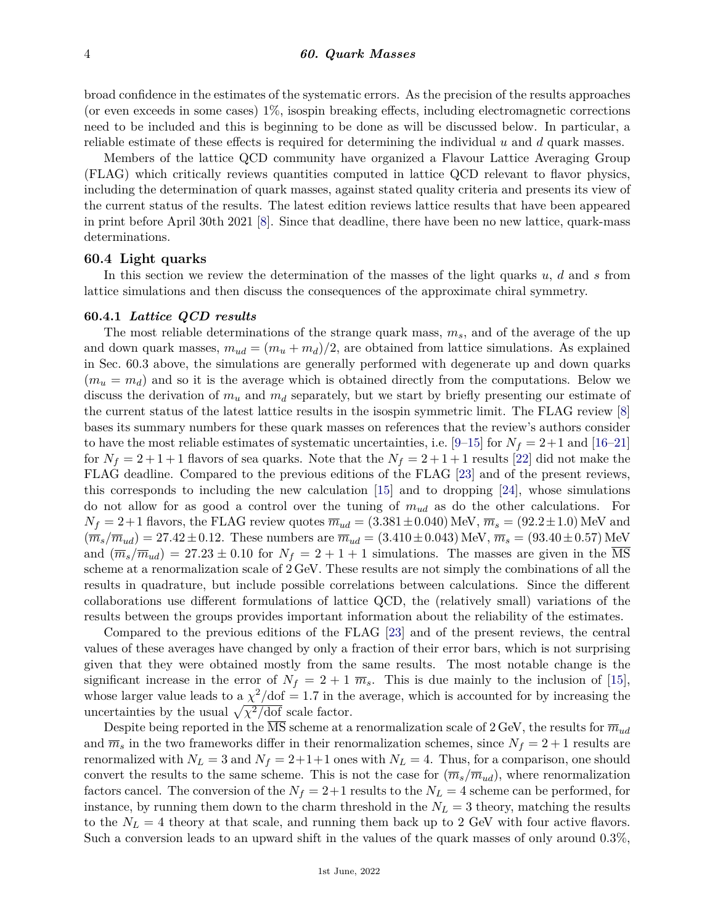broad confidence in the estimates of the systematic errors. As the precision of the results approaches (or even exceeds in some cases) 1%, isospin breaking effects, including electromagnetic corrections need to be included and this is beginning to be done as will be discussed below. In particular, a reliable estimate of these effects is required for determining the individual *u* and *d* quark masses.

Members of the lattice QCD community have organized a Flavour Lattice Averaging Group (FLAG) which critically reviews quantities computed in lattice QCD relevant to flavor physics, including the determination of quark masses, against stated quality criteria and presents its view of the current status of the results. The latest edition reviews lattice results that have been appeared in print before April 30th 2021 [\[8\]](#page-15-0). Since that deadline, there have been no new lattice, quark-mass determinations.

#### **60.4 Light quarks**

In this section we review the determination of the masses of the light quarks *u*, *d* and *s* from lattice simulations and then discuss the consequences of the approximate chiral symmetry.

#### **60.4.1** *Lattice QCD results*

The most reliable determinations of the strange quark mass, *ms*, and of the average of the up and down quark masses,  $m_{ud} = (m_u + m_d)/2$ , are obtained from lattice simulations. As explained in Sec. 60.3 above, the simulations are generally performed with degenerate up and down quarks  $(m_u = m_d)$  and so it is the average which is obtained directly from the computations. Below we discuss the derivation of  $m_u$  and  $m_d$  separately, but we start by briefly presenting our estimate of the current status of the latest lattice results in the isospin symmetric limit. The FLAG review [\[8\]](#page-15-0) bases its summary numbers for these quark masses on references that the review's authors consider to have the most reliable estimates of systematic uncertainties, i.e.  $[9-15]$  $[9-15]$  for  $N_f = 2+1$  and  $[16-21]$  $[16-21]$ for  $N_f = 2 + 1 + 1$  flavors of sea quarks. Note that the  $N_f = 2 + 1 + 1$  results [\[22\]](#page-15-5) did not make the FLAG deadline. Compared to the previous editions of the FLAG [\[23\]](#page-15-6) and of the present reviews, this corresponds to including the new calculation [\[15\]](#page-15-2) and to dropping [\[24\]](#page-15-7), whose simulations do not allow for as good a control over the tuning of *mud* as do the other calculations. For  $N_f = 2+1$  flavors, the FLAG review quotes  $\overline{m}_{ud} = (3.381 \pm 0.040)$  MeV,  $\overline{m}_s = (92.2 \pm 1.0)$  MeV and  $(\overline{m}_s/\overline{m}_{ud}) = 27.42 \pm 0.12$ . These numbers are  $\overline{m}_{ud} = (3.410 \pm 0.043)$  MeV,  $\overline{m}_s = (93.40 \pm 0.57)$  MeV and  $(\overline{m}_s/\overline{m}_{ud}) = 27.23 \pm 0.10$  for  $N_f = 2 + 1 + 1$  simulations. The masses are given in the MS scheme at a renormalization scale of 2 GeV. These results are not simply the combinations of all the results in quadrature, but include possible correlations between calculations. Since the different collaborations use different formulations of lattice QCD, the (relatively small) variations of the results between the groups provides important information about the reliability of the estimates.

Compared to the previous editions of the FLAG [\[23\]](#page-15-6) and of the present reviews, the central values of these averages have changed by only a fraction of their error bars, which is not surprising given that they were obtained mostly from the same results. The most notable change is the significant increase in the error of  $N_f = 2 + 1 \overline{m}_s$ . This is due mainly to the inclusion of [\[15\]](#page-15-2), whose larger value leads to a  $\chi^2$ /dof = 1.7 in the average, which is accounted for by increasing the uncertainties by the usual  $\sqrt{\chi^2/\text{dof}}$  scale factor.

Despite being reported in the  $\overline{\text{MS}}$  scheme at a renormalization scale of 2 GeV, the results for  $\overline{m}_{ud}$ and  $\overline{m}_s$  in the two frameworks differ in their renormalization schemes, since  $N_f = 2 + 1$  results are renormalized with  $N_L = 3$  and  $N_f = 2+1+1$  ones with  $N_L = 4$ . Thus, for a comparison, one should convert the results to the same scheme. This is not the case for  $(\overline{m}_s/\overline{m}_{ud})$ , where renormalization factors cancel. The conversion of the  $N_f = 2+1$  results to the  $N_L = 4$  scheme can be performed, for instance, by running them down to the charm threshold in the  $N_L = 3$  theory, matching the results to the  $N_L = 4$  theory at that scale, and running them back up to 2 GeV with four active flavors. Such a conversion leads to an upward shift in the values of the quark masses of only around 0*.*3%,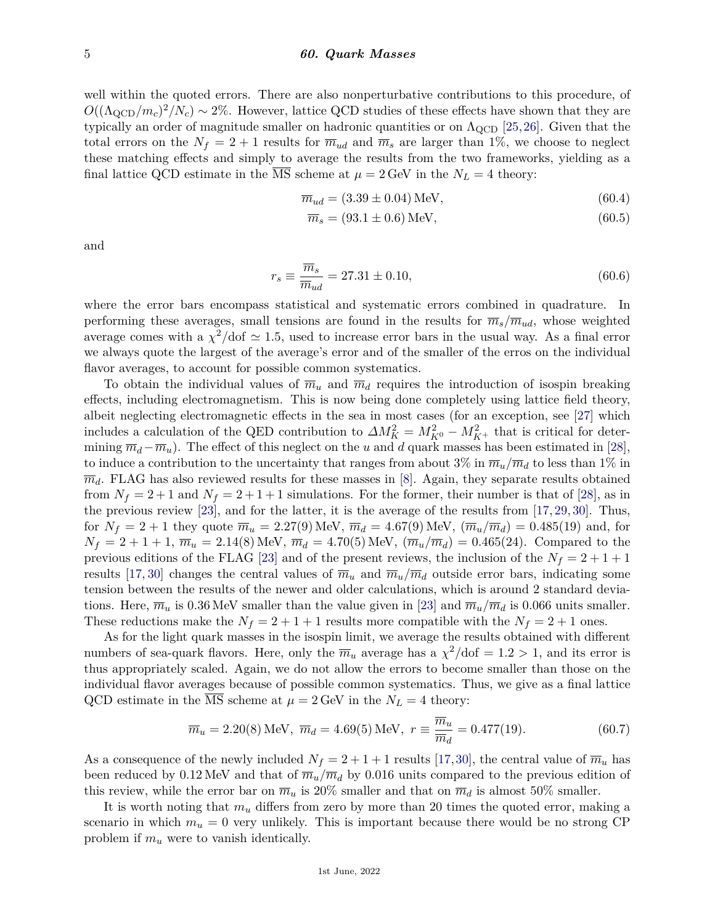#### 5 *60. Quark Masses*

well within the quoted errors. There are also nonperturbative contributions to this procedure, of  $O((\Lambda_{\rm QCD}/m_c)^2/N_c) \sim 2\%$ . However, lattice QCD studies of these effects have shown that they are typically an order of magnitude smaller on hadronic quantities or on  $\Lambda_{\rm QCD}$  [\[25,](#page-15-8)[26\]](#page-15-9). Given that the total errors on the  $N_f = 2 + 1$  results for  $\overline{m}_{ud}$  and  $\overline{m}_s$  are larger than 1%, we choose to neglect these matching effects and simply to average the results from the two frameworks, yielding as a final lattice QCD estimate in the MS scheme at  $\mu = 2 \text{ GeV}$  in the  $N_L = 4$  theory:

$$
\overline{m}_{ud} = (3.39 \pm 0.04) \,\text{MeV},\tag{60.4}
$$

$$
\overline{m}_s = (93.1 \pm 0.6) \,\text{MeV},\tag{60.5}
$$

and

$$
r_s \equiv \frac{\overline{m}_s}{\overline{m}_{ud}} = 27.31 \pm 0.10,\tag{60.6}
$$

where the error bars encompass statistical and systematic errors combined in quadrature. In performing these averages, small tensions are found in the results for  $\overline{m}_s/\overline{m}_{ud}$ , whose weighted average comes with a  $\chi^2$ /dof  $\simeq 1.5$ , used to increase error bars in the usual way. As a final error we always quote the largest of the average's error and of the smaller of the erros on the individual flavor averages, to account for possible common systematics.

To obtain the individual values of  $\overline{m}_u$  and  $\overline{m}_d$  requires the introduction of isospin breaking effects, including electromagnetism. This is now being done completely using lattice field theory, albeit neglecting electromagnetic effects in the sea in most cases (for an exception, see [\[27\]](#page-15-10) which includes a calculation of the QED contribution to  $\Delta M_K^2 = M_{K^0}^2 - M_{K^+}^2$  that is critical for determining  $\overline{m}_d - \overline{m}_u$ ). The effect of this neglect on the *u* and *d* quark masses has been estimated in [\[28\]](#page-15-11), to induce a contribution to the uncertainty that ranges from about  $3\%$  in  $\overline{m}_u/\overline{m}_d$  to less than  $1\%$  in  $\overline{m}_d$ . FLAG has also reviewed results for these masses in [\[8\]](#page-15-0). Again, they separate results obtained from  $N_f = 2 + 1$  and  $N_f = 2 + 1 + 1$  simulations. For the former, their number is that of [\[28\]](#page-15-11), as in the previous review [\[23\]](#page-15-6), and for the latter, it is the average of the results from [\[17,](#page-15-12) [29,](#page-15-13) [30\]](#page-15-14). Thus, for  $N_f = 2 + 1$  they quote  $\overline{m}_u = 2.27(9)$  MeV,  $\overline{m}_d = 4.67(9)$  MeV,  $(\overline{m}_u/\overline{m}_d) = 0.485(19)$  and, for  $N_f = 2 + 1 + 1$ ,  $\overline{m}_u = 2.14(8)$  MeV,  $\overline{m}_d = 4.70(5)$  MeV,  $(\overline{m}_u/\overline{m}_d) = 0.465(24)$ . Compared to the previous editions of the FLAG [\[23\]](#page-15-6) and of the present reviews, the inclusion of the  $N_f = 2 + 1 + 1$ results [\[17,](#page-15-12) [30\]](#page-15-14) changes the central values of  $\overline{m}_u$  and  $\overline{m}_u/\overline{m}_d$  outside error bars, indicating some tension between the results of the newer and older calculations, which is around 2 standard deviations. Here,  $\overline{m}_u$  is 0.36 MeV smaller than the value given in [\[23\]](#page-15-6) and  $\overline{m}_u/\overline{m}_d$  is 0.066 units smaller. These reductions make the  $N_f = 2 + 1 + 1$  results more compatible with the  $N_f = 2 + 1$  ones.

As for the light quark masses in the isospin limit, we average the results obtained with different numbers of sea-quark flavors. Here, only the  $\overline{m}_u$  average has a  $\chi^2/\text{dof} = 1.2 > 1$ , and its error is thus appropriately scaled. Again, we do not allow the errors to become smaller than those on the individual flavor averages because of possible common systematics. Thus, we give as a final lattice QCD estimate in the MS scheme at  $\mu = 2$  GeV in the  $N_L = 4$  theory:

$$
\overline{m}_u = 2.20(8) \text{ MeV}, \ \overline{m}_d = 4.69(5) \text{ MeV}, \ r \equiv \frac{\overline{m}_u}{\overline{m}_d} = 0.477(19).
$$
\n(60.7)

As a consequence of the newly included  $N_f = 2 + 1 + 1$  results [\[17,](#page-15-12)[30\]](#page-15-14), the central value of  $\overline{m}_u$  has been reduced by 0.12 MeV and that of  $\overline{m}_u/\overline{m}_d$  by 0.016 units compared to the previous edition of this review, while the error bar on  $\overline{m}_u$  is 20% smaller and that on  $\overline{m}_d$  is almost 50% smaller.

It is worth noting that  $m<sub>u</sub>$  differs from zero by more than 20 times the quoted error, making a scenario in which  $m_u = 0$  very unlikely. This is important because there would be no strong CP problem if *m<sup>u</sup>* were to vanish identically.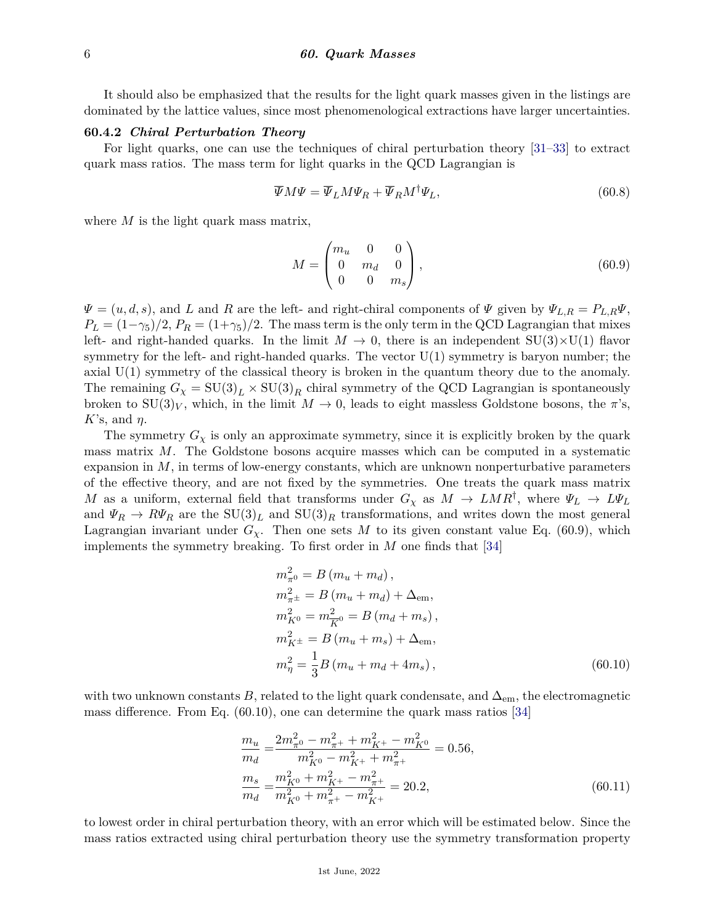It should also be emphasized that the results for the light quark masses given in the listings are dominated by the lattice values, since most phenomenological extractions have larger uncertainties.

#### **60.4.2** *Chiral Perturbation Theory*

For light quarks, one can use the techniques of chiral perturbation theory [\[31–](#page-15-15)[33\]](#page-15-16) to extract quark mass ratios. The mass term for light quarks in the QCD Lagrangian is

$$
\overline{\Psi}M\Psi = \overline{\Psi}_L M \Psi_R + \overline{\Psi}_R M^{\dagger} \Psi_L, \qquad (60.8)
$$

where *M* is the light quark mass matrix,

$$
M = \begin{pmatrix} m_u & 0 & 0 \\ 0 & m_d & 0 \\ 0 & 0 & m_s \end{pmatrix},
$$
 (60.9)

 $\Psi = (u, d, s)$ , and *L* and *R* are the left- and right-chiral components of  $\Psi$  given by  $\Psi_{L,R} = P_{L,R} \Psi$ ,  $P_L = (1-\gamma_5)/2$ ,  $P_R = (1+\gamma_5)/2$ . The mass term is the only term in the QCD Lagrangian that mixes left- and right-handed quarks. In the limit  $M \to 0$ , there is an independent  $SU(3) \times U(1)$  flavor symmetry for the left- and right-handed quarks. The vector  $U(1)$  symmetry is baryon number; the axial U(1) symmetry of the classical theory is broken in the quantum theory due to the anomaly. The remaining  $G_\chi = SU(3)_L \times SU(3)_R$  chiral symmetry of the QCD Lagrangian is spontaneously broken to  $SU(3)_V$ , which, in the limit  $M \to 0$ , leads to eight massless Goldstone bosons, the  $\pi$ 's, *K*'s, and *η*.

The symmetry  $G_\chi$  is only an approximate symmetry, since it is explicitly broken by the quark mass matrix *M*. The Goldstone bosons acquire masses which can be computed in a systematic expansion in *M*, in terms of low-energy constants, which are unknown nonperturbative parameters of the effective theory, and are not fixed by the symmetries. One treats the quark mass matrix *M* as a uniform, external field that transforms under  $G_\chi$  as  $M \to LMR^{\dagger}$ , where  $\Psi_L \to L\Psi_L$ and  $\Psi_R \to R\Psi_R$  are the  $SU(3)_L$  and  $SU(3)_R$  transformations, and writes down the most general Lagrangian invariant under  $G_\chi$ . Then one sets M to its given constant value Eq. (60.9), which implements the symmetry breaking. To first order in *M* one finds that [\[34\]](#page-15-17)

$$
m_{\pi^0}^2 = B (m_u + m_d),
$$
  
\n
$$
m_{\pi^{\pm}}^2 = B (m_u + m_d) + \Delta_{em},
$$
  
\n
$$
m_{K^0}^2 = m_{\overline{K}^0}^2 = B (m_d + m_s),
$$
  
\n
$$
m_{K^{\pm}}^2 = B (m_u + m_s) + \Delta_{em},
$$
  
\n
$$
m_{\eta}^2 = \frac{1}{3} B (m_u + m_d + 4m_s),
$$
\n(60.10)

with two unknown constants *B*, related to the light quark condensate, and  $\Delta_{em}$ , the electromagnetic mass difference. From Eq. (60.10), one can determine the quark mass ratios [\[34\]](#page-15-17)

$$
\frac{m_u}{m_d} = \frac{2m_{\pi^0}^2 - m_{\pi^+}^2 + m_{K^+}^2 - m_{K^0}^2}{m_{K^0}^2 - m_{K^+}^2 + m_{\pi^+}^2} = 0.56,
$$
\n
$$
\frac{m_s}{m_d} = \frac{m_{K^0}^2 + m_{K^+}^2 - m_{\pi^+}^2}{m_{K^0}^2 + m_{\pi^+}^2 - m_{K^+}^2} = 20.2,
$$
\n(60.11)

to lowest order in chiral perturbation theory, with an error which will be estimated below. Since the mass ratios extracted using chiral perturbation theory use the symmetry transformation property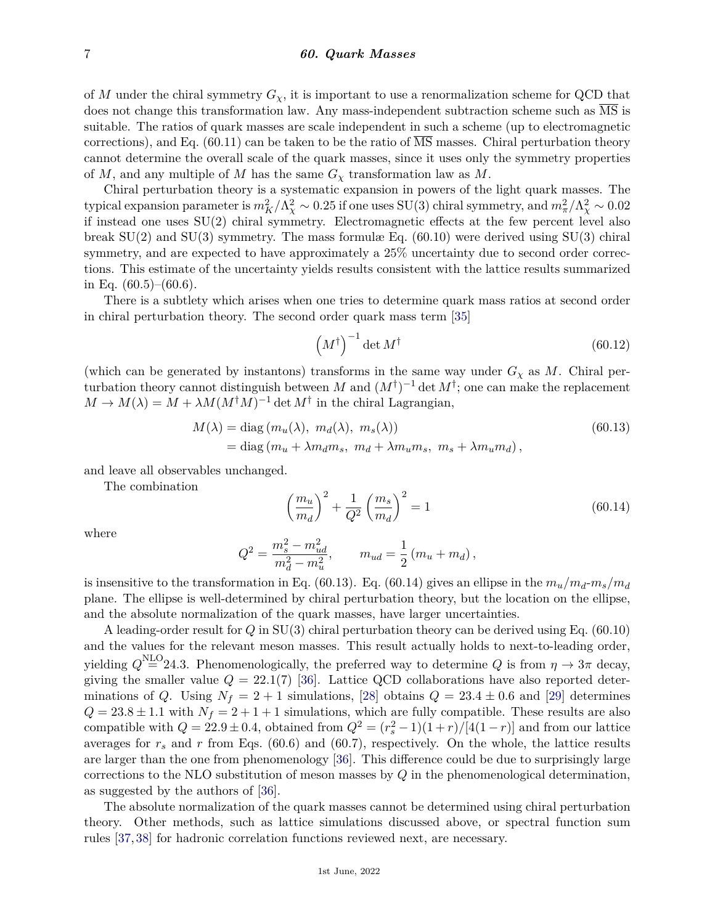of *M* under the chiral symmetry  $G_\chi$ , it is important to use a renormalization scheme for QCD that does not change this transformation law. Any mass-independent subtraction scheme such as  $\overline{\text{MS}}$  is suitable. The ratios of quark masses are scale independent in such a scheme (up to electromagnetic corrections), and Eq. (60.11) can be taken to be the ratio of  $\overline{\text{MS}}$  masses. Chiral perturbation theory cannot determine the overall scale of the quark masses, since it uses only the symmetry properties of *M*, and any multiple of *M* has the same  $G_\chi$  transformation law as *M*.

Chiral perturbation theory is a systematic expansion in powers of the light quark masses. The typical expansion parameter is  $m_K^2/\Lambda_\chi^2 \sim 0.25$  if one uses SU(3) chiral symmetry, and  $m_\pi^2/\Lambda_\chi^2 \sim 0.02$ if instead one uses SU(2) chiral symmetry. Electromagnetic effects at the few percent level also break  $SU(2)$  and  $SU(3)$  symmetry. The mass formulæ Eq. (60.10) were derived using  $SU(3)$  chiral symmetry, and are expected to have approximately a  $25\%$  uncertainty due to second order corrections. This estimate of the uncertainty yields results consistent with the lattice results summarized in Eq.  $(60.5)$ – $(60.6)$ .

There is a subtlety which arises when one tries to determine quark mass ratios at second order in chiral perturbation theory. The second order quark mass term [\[35\]](#page-15-18)

$$
\left(M^{\dagger}\right)^{-1} \det M^{\dagger} \tag{60.12}
$$

(which can be generated by instantons) transforms in the same way under  $G_\chi$  as M. Chiral perturbation theory cannot distinguish between *M* and  $(M^{\dagger})^{-1}$  det  $M^{\dagger}$ ; one can make the replacement  $M \to M(\lambda) = M + \lambda M (M^{\dagger}M)^{-1}$  det  $M^{\dagger}$  in the chiral Lagrangian,

$$
M(\lambda) = \text{diag}(m_u(\lambda), m_d(\lambda), m_s(\lambda))
$$
  
= diag(m\_u + \lambda m\_d m\_s, m\_d + \lambda m\_u m\_s, m\_s + \lambda m\_u m\_d), (60.13)

and leave all observables unchanged.

The combination

$$
\left(\frac{m_u}{m_d}\right)^2 + \frac{1}{Q^2} \left(\frac{m_s}{m_d}\right)^2 = 1\tag{60.14}
$$

where

$$
Q^2 = \frac{m_s^2 - m_{ud}^2}{m_d^2 - m_u^2}, \qquad m_{ud} = \frac{1}{2} (m_u + m_d),
$$

is insensitive to the transformation in Eq. (60.13). Eq. (60.14) gives an ellipse in the  $m_u/m_d-m_s/m_d$ plane. The ellipse is well-determined by chiral perturbation theory, but the location on the ellipse, and the absolute normalization of the quark masses, have larger uncertainties.

A leading-order result for *Q* in SU(3) chiral perturbation theory can be derived using Eq. (60.10) and the values for the relevant meson masses. This result actually holds to next-to-leading order, yielding  $Q^{\text{NLO}}=24.3$ . Phenomenologically, the preferred way to determine  $Q$  is from  $\eta \to 3\pi$  decay, giving the smaller value  $Q = 22.1(7)$  [\[36\]](#page-15-19). Lattice QCD collaborations have also reported determinations of *Q*. Using  $N_f = 2 + 1$  simulations, [\[28\]](#page-15-11) obtains  $Q = 23.4 \pm 0.6$  and [\[29\]](#page-15-13) determines  $Q = 23.8 \pm 1.1$  with  $N_f = 2 + 1 + 1$  simulations, which are fully compatible. These results are also compatible with  $Q = 22.9 \pm 0.4$ , obtained from  $Q^2 = (r_s^2 - 1)(1 + r)/[4(1 - r)]$  and from our lattice averages for  $r_s$  and  $r$  from Eqs. (60.6) and (60.7), respectively. On the whole, the lattice results are larger than the one from phenomenology [\[36\]](#page-15-19). This difference could be due to surprisingly large corrections to the NLO substitution of meson masses by *Q* in the phenomenological determination, as suggested by the authors of [\[36\]](#page-15-19).

The absolute normalization of the quark masses cannot be determined using chiral perturbation theory. Other methods, such as lattice simulations discussed above, or spectral function sum rules [\[37,](#page-15-20) [38\]](#page-15-21) for hadronic correlation functions reviewed next, are necessary.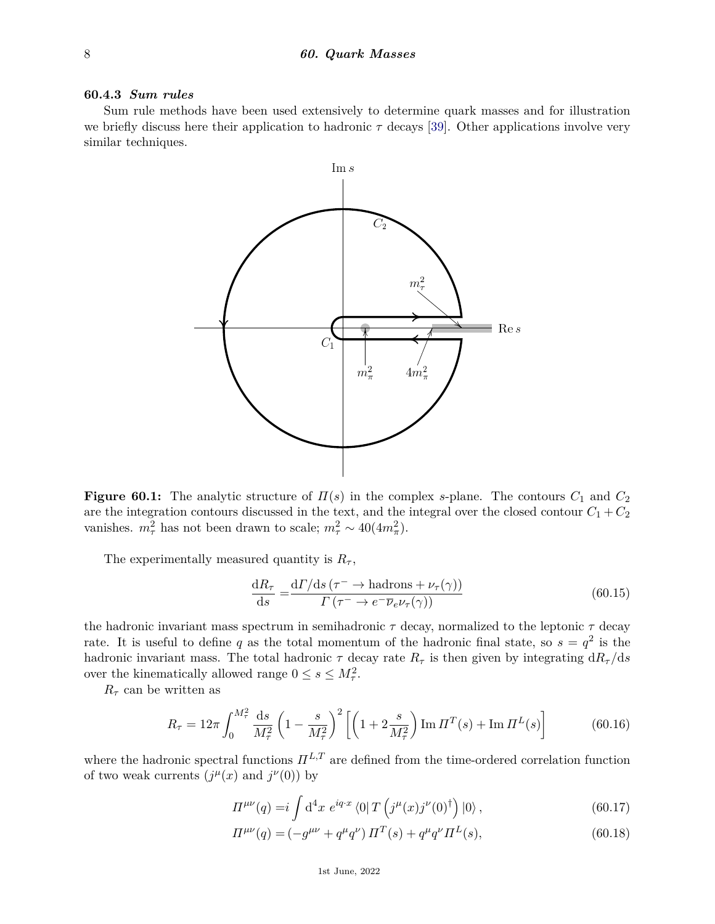### **60.4.3** *Sum rules*

Sum rule methods have been used extensively to determine quark masses and for illustration we briefly discuss here their application to hadronic *τ* decays [\[39\]](#page-15-22). Other applications involve very similar techniques.



**Figure 60.1:** The analytic structure of  $\Pi(s)$  in the complex *s*-plane. The contours  $C_1$  and  $C_2$ are the integration contours discussed in the text, and the integral over the closed contour  $C_1 + C_2$ vanishes.  $m_{\tau}^2$  has not been drawn to scale;  $m_{\tau}^2 \sim 40(4m_{\pi}^2)$ .

The experimentally measured quantity is  $R_{\tau}$ ,

$$
\frac{\mathrm{d}R_{\tau}}{\mathrm{d}s} = \frac{\mathrm{d}\Gamma/\mathrm{d}s\left(\tau^{-} \to \text{hadrons} + \nu_{\tau}(\gamma)\right)}{\Gamma\left(\tau^{-} \to e^{-}\overline{\nu}_{e}\nu_{\tau}(\gamma)\right)}\tag{60.15}
$$

the hadronic invariant mass spectrum in semihadronic *τ* decay, normalized to the leptonic *τ* decay rate. It is useful to define q as the total momentum of the hadronic final state, so  $s = q^2$  is the hadronic invariant mass. The total hadronic  $\tau$  decay rate  $R_{\tau}$  is then given by integrating  $dR_{\tau}/ds$ over the kinematically allowed range  $0 \leq s \leq M_{\tau}^2$ .

 $R_{\tau}$  can be written as

$$
R_{\tau} = 12\pi \int_0^{M_{\tau}^2} \frac{\mathrm{d}s}{M_{\tau}^2} \left(1 - \frac{s}{M_{\tau}^2}\right)^2 \left[ \left(1 + 2\frac{s}{M_{\tau}^2}\right) \mathrm{Im} \,\Pi^T(s) + \mathrm{Im}\,\Pi^L(s) \right] \tag{60.16}
$$

where the hadronic spectral functions  $\Pi^{L,T}$  are defined from the time-ordered correlation function of two weak currents  $(j^{\mu}(x)$  and  $j^{\nu}(0)$  by

$$
\Pi^{\mu\nu}(q) = i \int d^4x \ e^{iq \cdot x} \langle 0| T \left( j^{\mu}(x) j^{\nu}(0)^{\dagger} \right) |0 \rangle , \qquad (60.17)
$$

$$
\Pi^{\mu\nu}(q) = \left(-g^{\mu\nu} + q^{\mu}q^{\nu}\right)\Pi^{T}(s) + q^{\mu}q^{\nu}\Pi^{L}(s),\tag{60.18}
$$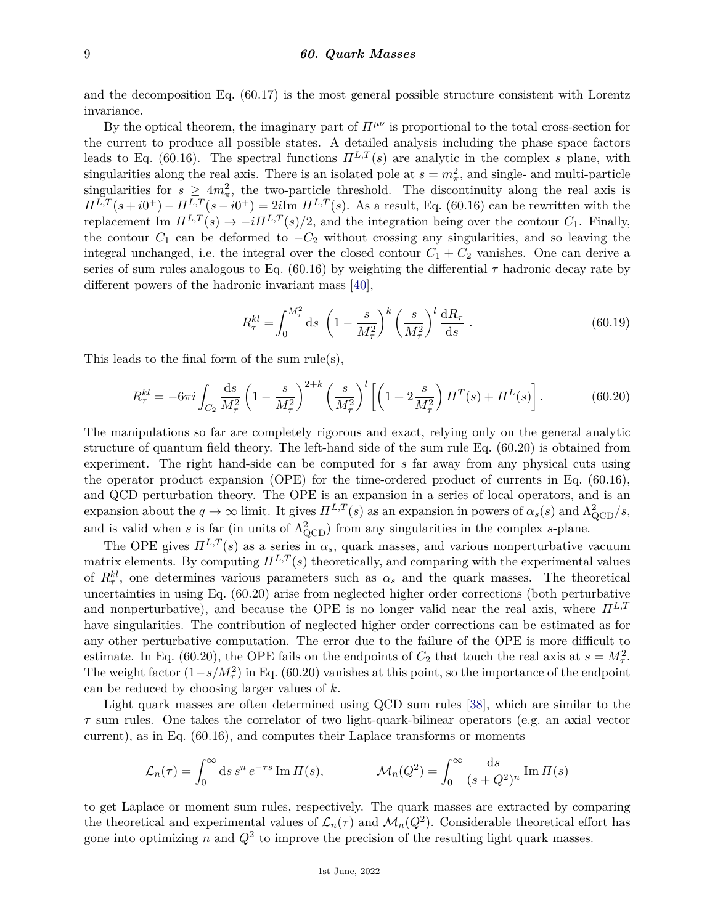and the decomposition Eq. (60.17) is the most general possible structure consistent with Lorentz invariance.

By the optical theorem, the imaginary part of  $\Pi^{\mu\nu}$  is proportional to the total cross-section for the current to produce all possible states. A detailed analysis including the phase space factors leads to Eq. (60.16). The spectral functions  $\Pi^{L,T}(s)$  are analytic in the complex *s* plane, with singularities along the real axis. There is an isolated pole at  $s = m_{\pi}^2$ , and single- and multi-particle singularities for  $s \geq 4m_{\pi}^2$ , the two-particle threshold. The discontinuity along the real axis is  $\Pi^{L,T}(s+i0^+) - \Pi^{L,T}(s-i0^+) = 2i\text{Im }\Pi^{L,T}(s)$ . As a result, Eq. (60.16) can be rewritten with the replacement Im  $\Pi^{L,T}(s) \to -i\Pi^{L,T}(s)/2$ , and the integration being over the contour  $C_1$ . Finally, the contour  $C_1$  can be deformed to  $-C_2$  without crossing any singularities, and so leaving the integral unchanged, i.e. the integral over the closed contour  $C_1 + C_2$  vanishes. One can derive a series of sum rules analogous to Eq.  $(60.16)$  by weighting the differential  $\tau$  hadronic decay rate by different powers of the hadronic invariant mass [\[40\]](#page-15-23),

$$
R_{\tau}^{kl} = \int_0^{M_{\tau}^2} ds \, \left(1 - \frac{s}{M_{\tau}^2}\right)^k \left(\frac{s}{M_{\tau}^2}\right)^l \frac{dR_{\tau}}{ds} \,. \tag{60.19}
$$

This leads to the final form of the sum rule(s),

$$
R_{\tau}^{kl} = -6\pi i \int_{C_2} \frac{ds}{M_{\tau}^2} \left(1 - \frac{s}{M_{\tau}^2}\right)^{2+k} \left(\frac{s}{M_{\tau}^2}\right)^l \left[\left(1 + 2\frac{s}{M_{\tau}^2}\right) \Pi^T(s) + \Pi^L(s)\right].
$$
 (60.20)

The manipulations so far are completely rigorous and exact, relying only on the general analytic structure of quantum field theory. The left-hand side of the sum rule Eq. (60.20) is obtained from experiment. The right hand-side can be computed for *s* far away from any physical cuts using the operator product expansion (OPE) for the time-ordered product of currents in Eq. (60.16), and QCD perturbation theory. The OPE is an expansion in a series of local operators, and is an expansion about the  $q \to \infty$  limit. It gives  $\Pi^{L,T}(s)$  as an expansion in powers of  $\alpha_s(s)$  and  $\Lambda_{\text{QCD}}^2/s$ , and is valid when *s* is far (in units of  $\Lambda_{\text{QCD}}^2$ ) from any singularities in the complex *s*-plane.

The OPE gives  $\Pi^{L,T}(s)$  as a series in  $\alpha_s$ , quark masses, and various nonperturbative vacuum matrix elements. By computing  $\Pi^{L,T}(s)$  theoretically, and comparing with the experimental values of  $R_{\tau}^{kl}$ , one determines various parameters such as  $\alpha_s$  and the quark masses. The theoretical uncertainties in using Eq. (60.20) arise from neglected higher order corrections (both perturbative and nonperturbative), and because the OPE is no longer valid near the real axis, where  $\Pi^{L,T}$ have singularities. The contribution of neglected higher order corrections can be estimated as for any other perturbative computation. The error due to the failure of the OPE is more difficult to estimate. In Eq. (60.20), the OPE fails on the endpoints of  $C_2$  that touch the real axis at  $s = M_{\tau}^2$ . The weight factor  $(1-s/M_{\tau}^2)$  in Eq. (60.20) vanishes at this point, so the importance of the endpoint can be reduced by choosing larger values of *k*.

Light quark masses are often determined using QCD sum rules [\[38\]](#page-15-21), which are similar to the *τ* sum rules. One takes the correlator of two light-quark-bilinear operators (e.g. an axial vector current), as in Eq. (60.16), and computes their Laplace transforms or moments

$$
\mathcal{L}_n(\tau) = \int_0^\infty ds \, s^n \, e^{-\tau s} \operatorname{Im} \Pi(s), \qquad \mathcal{M}_n(Q^2) = \int_0^\infty \frac{\mathrm{d}s}{(s + Q^2)^n} \operatorname{Im} \Pi(s)
$$

to get Laplace or moment sum rules, respectively. The quark masses are extracted by comparing the theoretical and experimental values of  $\mathcal{L}_n(\tau)$  and  $\mathcal{M}_n(Q^2)$ . Considerable theoretical effort has gone into optimizing  $n$  and  $Q^2$  to improve the precision of the resulting light quark masses.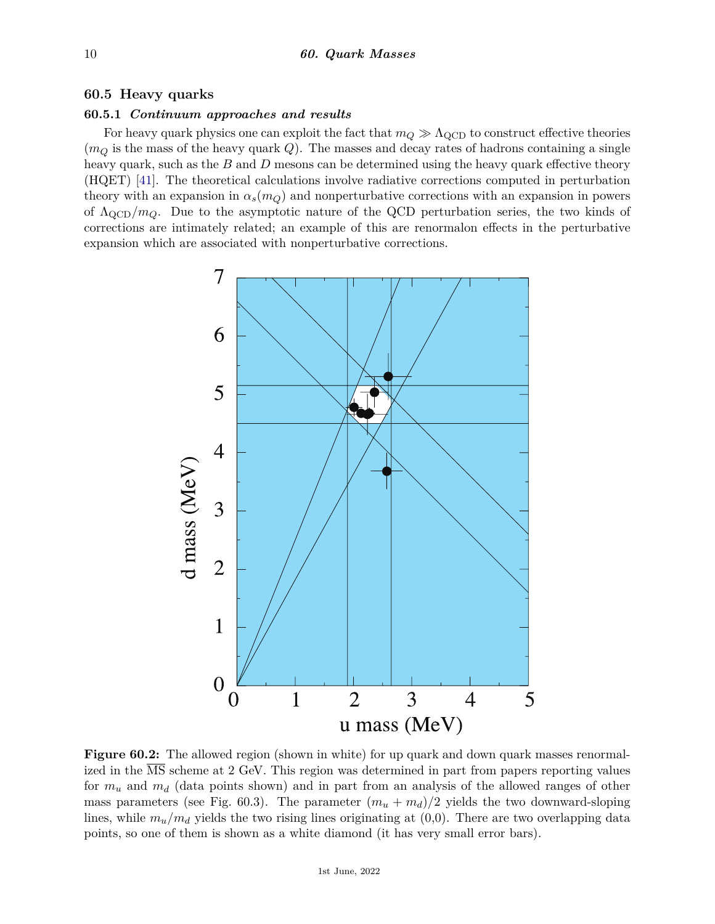# **60.5 Heavy quarks**

# **60.5.1** *Continuum approaches and results*

For heavy quark physics one can exploit the fact that  $m_Q \gg \Lambda_{\rm QCD}$  to construct effective theories  $(m_Q)$  is the mass of the heavy quark  $Q$ ). The masses and decay rates of hadrons containing a single heavy quark, such as the *B* and *D* mesons can be determined using the heavy quark effective theory (HQET) [\[41\]](#page-15-24). The theoretical calculations involve radiative corrections computed in perturbation theory with an expansion in  $\alpha_s(m_Q)$  and nonperturbative corrections with an expansion in powers of ΛQCD*/mQ*. Due to the asymptotic nature of the QCD perturbation series, the two kinds of corrections are intimately related; an example of this are renormalon effects in the perturbative expansion which are associated with nonperturbative corrections.



**Figure 60.2:** The allowed region (shown in white) for up quark and down quark masses renormalized in the  $\overline{\text{MS}}$  scheme at 2 GeV. This region was determined in part from papers reporting values for *m<sup>u</sup>* and *m<sup>d</sup>* (data points shown) and in part from an analysis of the allowed ranges of other mass parameters (see Fig. 60.3). The parameter  $(m_u + m_d)/2$  yields the two downward-sloping lines, while  $m_u/m_d$  yields the two rising lines originating at  $(0,0)$ . There are two overlapping data points, so one of them is shown as a white diamond (it has very small error bars).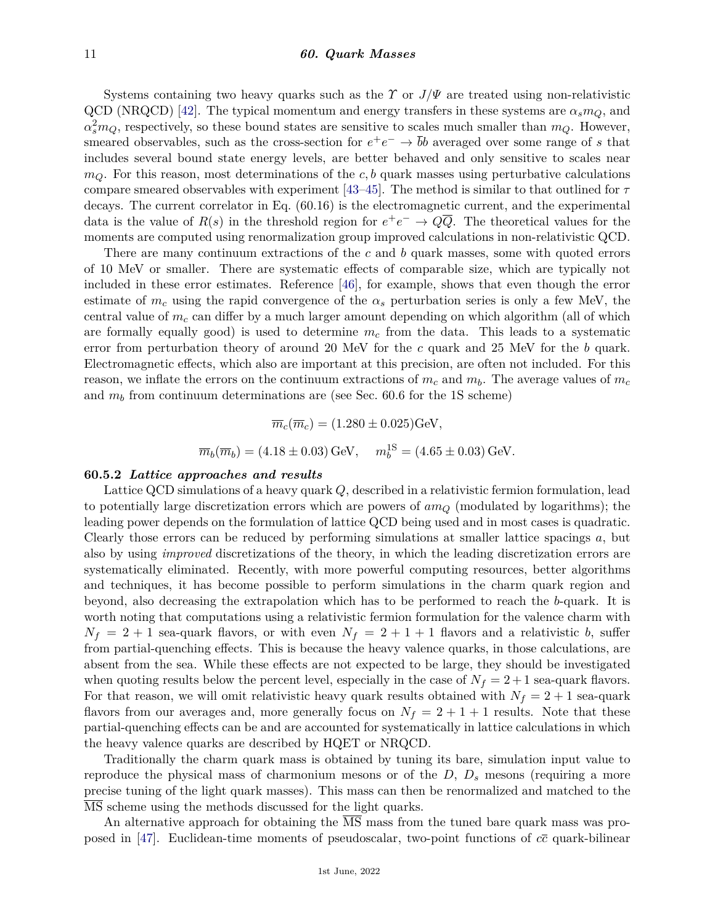Systems containing two heavy quarks such as the *Y* or  $J/\Psi$  are treated using non-relativistic QCD (NRQCD) [\[42\]](#page-15-25). The typical momentum and energy transfers in these systems are  $\alpha_s m_Q$ , and  $\alpha_s^2 m_Q$ , respectively, so these bound states are sensitive to scales much smaller than  $m_Q$ . However, smeared observables, such as the cross-section for  $e^+e^- \to \bar{b}b$  averaged over some range of *s* that includes several bound state energy levels, are better behaved and only sensitive to scales near  $m<sub>O</sub>$ . For this reason, most determinations of the *c*, b quark masses using perturbative calculations compare smeared observables with experiment [\[43–](#page-15-26)[45\]](#page-16-0). The method is similar to that outlined for *τ* decays. The current correlator in Eq. (60.16) is the electromagnetic current, and the experimental data is the value of  $R(s)$  in the threshold region for  $e^+e^- \to Q\overline{Q}$ . The theoretical values for the moments are computed using renormalization group improved calculations in non-relativistic QCD.

There are many continuum extractions of the *c* and *b* quark masses, some with quoted errors of 10 MeV or smaller. There are systematic effects of comparable size, which are typically not included in these error estimates. Reference [\[46\]](#page-16-1), for example, shows that even though the error estimate of  $m_c$  using the rapid convergence of the  $\alpha_s$  perturbation series is only a few MeV, the central value of *m<sup>c</sup>* can differ by a much larger amount depending on which algorithm (all of which are formally equally good) is used to determine *m<sup>c</sup>* from the data. This leads to a systematic error from perturbation theory of around 20 MeV for the *c* quark and 25 MeV for the *b* quark. Electromagnetic effects, which also are important at this precision, are often not included. For this reason, we inflate the errors on the continuum extractions of  $m_c$  and  $m_b$ . The average values of  $m_c$ and  $m_b$  from continuum determinations are (see Sec. 60.6 for the 1S scheme)

$$
\overline{m}_c(\overline{m}_c) = (1.280 \pm 0.025) \text{GeV},
$$
  

$$
\overline{m}_b(\overline{m}_b) = (4.18 \pm 0.03) \text{GeV}, \quad m_b^{1S} = (4.65 \pm 0.03) \text{GeV}.
$$

#### **60.5.2** *Lattice approaches and results*

Lattice QCD simulations of a heavy quark *Q*, described in a relativistic fermion formulation, lead to potentially large discretization errors which are powers of *am<sup>Q</sup>* (modulated by logarithms); the leading power depends on the formulation of lattice QCD being used and in most cases is quadratic. Clearly those errors can be reduced by performing simulations at smaller lattice spacings *a*, but also by using *improved* discretizations of the theory, in which the leading discretization errors are systematically eliminated. Recently, with more powerful computing resources, better algorithms and techniques, it has become possible to perform simulations in the charm quark region and beyond, also decreasing the extrapolation which has to be performed to reach the *b*-quark. It is worth noting that computations using a relativistic fermion formulation for the valence charm with  $N_f = 2 + 1$  sea-quark flavors, or with even  $N_f = 2 + 1 + 1$  flavors and a relativistic *b*, suffer from partial-quenching effects. This is because the heavy valence quarks, in those calculations, are absent from the sea. While these effects are not expected to be large, they should be investigated when quoting results below the percent level, especially in the case of  $N_f = 2 + 1$  sea-quark flavors. For that reason, we will omit relativistic heavy quark results obtained with  $N_f = 2 + 1$  sea-quark flavors from our averages and, more generally focus on  $N_f = 2 + 1 + 1$  results. Note that these partial-quenching effects can be and are accounted for systematically in lattice calculations in which the heavy valence quarks are described by HQET or NRQCD.

Traditionally the charm quark mass is obtained by tuning its bare, simulation input value to reproduce the physical mass of charmonium mesons or of the *D*, *D<sup>s</sup>* mesons (requiring a more precise tuning of the light quark masses). This mass can then be renormalized and matched to the MS scheme using the methods discussed for the light quarks.

An alternative approach for obtaining the MS mass from the tuned bare quark mass was proposed in [\[47\]](#page-16-2). Euclidean-time moments of pseudoscalar, two-point functions of *cc* quark-bilinear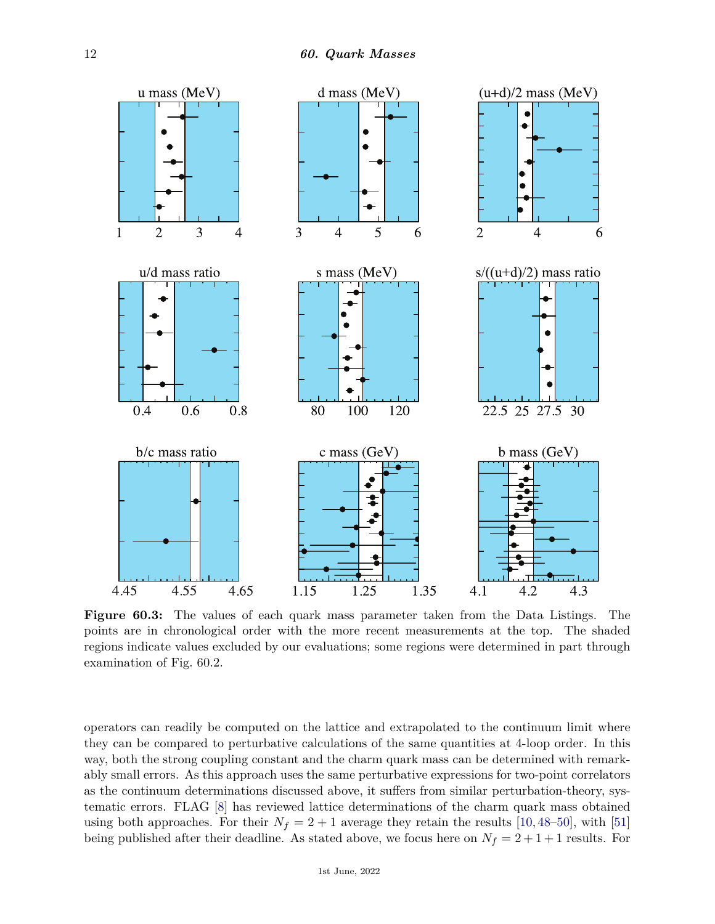

**Figure 60.3:** The values of each quark mass parameter taken from the Data Listings. The points are in chronological order with the more recent measurements at the top. The shaded regions indicate values excluded by our evaluations; some regions were determined in part through examination of Fig. 60.2.

operators can readily be computed on the lattice and extrapolated to the continuum limit where they can be compared to perturbative calculations of the same quantities at 4-loop order. In this way, both the strong coupling constant and the charm quark mass can be determined with remarkably small errors. As this approach uses the same perturbative expressions for two-point correlators as the continuum determinations discussed above, it suffers from similar perturbation-theory, systematic errors. FLAG [\[8\]](#page-15-0) has reviewed lattice determinations of the charm quark mass obtained using both approaches. For their  $N_f = 2 + 1$  average they retain the results [\[10,](#page-15-27) [48–](#page-16-3)[50\]](#page-16-4), with [\[51\]](#page-16-5) being published after their deadline. As stated above, we focus here on  $N_f = 2 + 1 + 1$  results. For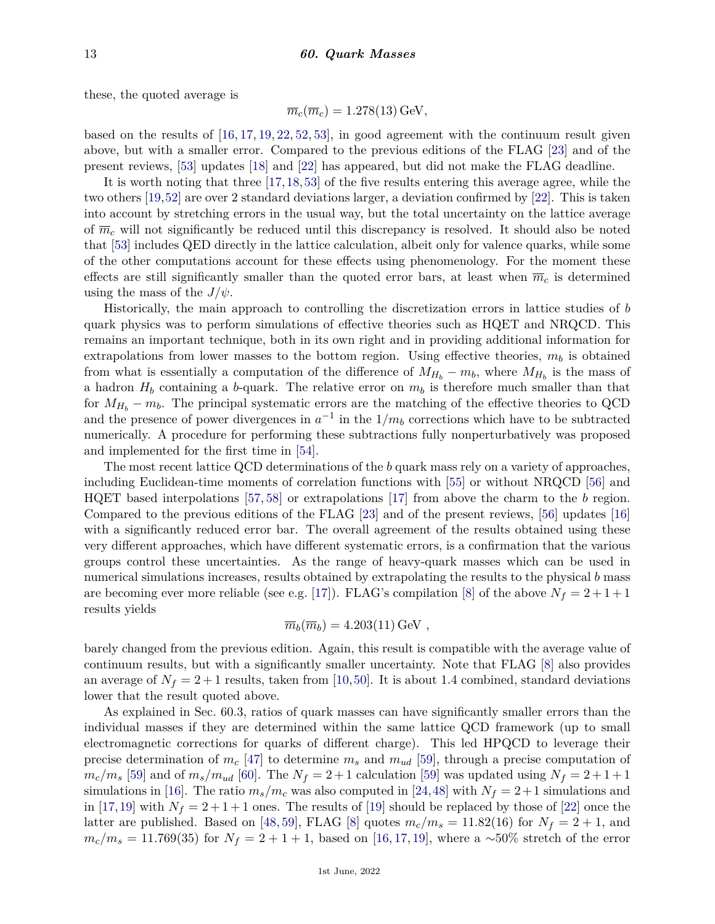these, the quoted average is

$$
\overline{m}_c(\overline{m}_c) = 1.278(13) \,\text{GeV},
$$

based on the results of [\[16,](#page-15-3) [17,](#page-15-12) [19,](#page-15-28) [22,](#page-15-5) [52,](#page-16-6) [53\]](#page-16-7), in good agreement with the continuum result given above, but with a smaller error. Compared to the previous editions of the FLAG [\[23\]](#page-15-6) and of the present reviews, [\[53\]](#page-16-7) updates [\[18\]](#page-15-29) and [\[22\]](#page-15-5) has appeared, but did not make the FLAG deadline.

It is worth noting that three [\[17,](#page-15-12)[18,](#page-15-29)[53\]](#page-16-7) of the five results entering this average agree, while the two others [\[19,](#page-15-28)[52\]](#page-16-6) are over 2 standard deviations larger, a deviation confirmed by [\[22\]](#page-15-5). This is taken into account by stretching errors in the usual way, but the total uncertainty on the lattice average of  $\overline{m}_c$  will not significantly be reduced until this discrepancy is resolved. It should also be noted that [\[53\]](#page-16-7) includes QED directly in the lattice calculation, albeit only for valence quarks, while some of the other computations account for these effects using phenomenology. For the moment these effects are still significantly smaller than the quoted error bars, at least when  $\overline{m}_c$  is determined using the mass of the  $J/\psi$ .

Historically, the main approach to controlling the discretization errors in lattice studies of *b* quark physics was to perform simulations of effective theories such as HQET and NRQCD. This remains an important technique, both in its own right and in providing additional information for extrapolations from lower masses to the bottom region. Using effective theories,  $m_b$  is obtained from what is essentially a computation of the difference of  $M_{H_b} - m_b$ , where  $M_{H_b}$  is the mass of a hadron  $H_b$  containing a *b*-quark. The relative error on  $m_b$  is therefore much smaller than that for  $M_{H_b} - m_b$ . The principal systematic errors are the matching of the effective theories to QCD and the presence of power divergences in  $a^{-1}$  in the  $1/m_b$  corrections which have to be subtracted numerically. A procedure for performing these subtractions fully nonperturbatively was proposed and implemented for the first time in [\[54\]](#page-16-8).

The most recent lattice QCD determinations of the *b* quark mass rely on a variety of approaches, including Euclidean-time moments of correlation functions with [\[55\]](#page-16-9) or without NRQCD [\[56\]](#page-16-10) and HQET based interpolations [\[57,](#page-16-11) [58\]](#page-16-12) or extrapolations [\[17\]](#page-15-12) from above the charm to the *b* region. Compared to the previous editions of the FLAG [\[23\]](#page-15-6) and of the present reviews, [\[56\]](#page-16-10) updates [\[16\]](#page-15-3) with a significantly reduced error bar. The overall agreement of the results obtained using these very different approaches, which have different systematic errors, is a confirmation that the various groups control these uncertainties. As the range of heavy-quark masses which can be used in numerical simulations increases, results obtained by extrapolating the results to the physical *b* mass are becoming ever more reliable (see e.g. [\[17\]](#page-15-12)). FLAG's compilation [\[8\]](#page-15-0) of the above  $N_f = 2 + 1 + 1$ results yields

$$
\overline{m}_b(\overline{m}_b) = 4.203(11) \,\text{GeV} ,
$$

barely changed from the previous edition. Again, this result is compatible with the average value of continuum results, but with a significantly smaller uncertainty. Note that FLAG [\[8\]](#page-15-0) also provides an average of  $N_f = 2 + 1$  results, taken from [\[10,](#page-15-27)[50\]](#page-16-4). It is about 1.4 combined, standard deviations lower that the result quoted above.

As explained in Sec. 60.3, ratios of quark masses can have significantly smaller errors than the individual masses if they are determined within the same lattice QCD framework (up to small electromagnetic corrections for quarks of different charge). This led HPQCD to leverage their precise determination of *m<sup>c</sup>* [\[47\]](#page-16-2) to determine *m<sup>s</sup>* and *mud* [\[59\]](#page-16-13), through a precise computation of  $m_c/m_s$  [\[59\]](#page-16-13) and of  $m_s/m_{ud}$  [\[60\]](#page-16-14). The  $N_f = 2 + 1$  calculation [59] was updated using  $N_f = 2 + 1 + 1$ simulations in [\[16\]](#page-15-3). The ratio  $m_s/m_c$  was also computed in [\[24,](#page-15-7)[48\]](#page-16-3) with  $N_f = 2+1$  simulations and in [\[17,](#page-15-12)[19\]](#page-15-28) with  $N_f = 2 + 1 + 1$  ones. The results of [\[19\]](#page-15-28) should be replaced by those of [\[22\]](#page-15-5) once the latter are published. Based on [\[48,](#page-16-3) [59\]](#page-16-13), FLAG [\[8\]](#page-15-0) quotes  $m_c/m_s = 11.82(16)$  for  $N_f = 2 + 1$ , and  $m_c/m_s = 11.769(35)$  for  $N_f = 2 + 1 + 1$ , based on [\[16,](#page-15-3) [17,](#page-15-12) [19\]](#page-15-28), where a ∼50% stretch of the error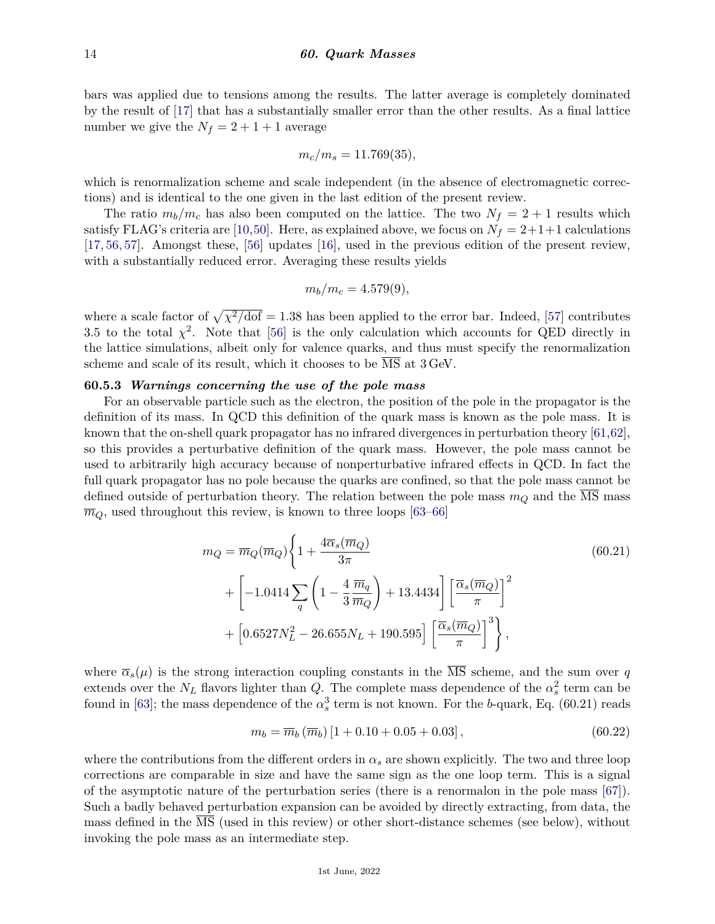bars was applied due to tensions among the results. The latter average is completely dominated by the result of [\[17\]](#page-15-12) that has a substantially smaller error than the other results. As a final lattice number we give the  $N_f = 2 + 1 + 1$  average

$$
m_c/m_s = 11.769(35),
$$

which is renormalization scheme and scale independent (in the absence of electromagnetic corrections) and is identical to the one given in the last edition of the present review.

The ratio  $m_b/m_c$  has also been computed on the lattice. The two  $N_f = 2 + 1$  results which satisfy FLAG's criteria are [\[10,](#page-15-27)[50\]](#page-16-4). Here, as explained above, we focus on  $N_f = 2+1+1$  calculations [\[17,](#page-15-12) [56,](#page-16-10) [57\]](#page-16-11). Amongst these, [\[56\]](#page-16-10) updates [\[16\]](#page-15-3), used in the previous edition of the present review, with a substantially reduced error. Averaging these results yields

$$
m_b/m_c = 4.579(9),
$$

where a scale factor of  $\sqrt{\chi^2/\text{dof}} = 1.38$  has been applied to the error bar. Indeed, [\[57\]](#page-16-11) contributes 3.5 to the total  $\chi^2$ . Note that [\[56\]](#page-16-10) is the only calculation which accounts for QED directly in the lattice simulations, albeit only for valence quarks, and thus must specify the renormalization scheme and scale of its result, which it chooses to be MS at 3 GeV.

# **60.5.3** *Warnings concerning the use of the pole mass*

For an observable particle such as the electron, the position of the pole in the propagator is the definition of its mass. In QCD this definition of the quark mass is known as the pole mass. It is known that the on-shell quark propagator has no infrared divergences in perturbation theory [\[61,](#page-16-15)[62\]](#page-16-16), so this provides a perturbative definition of the quark mass. However, the pole mass cannot be used to arbitrarily high accuracy because of nonperturbative infrared effects in QCD. In fact the full quark propagator has no pole because the quarks are confined, so that the pole mass cannot be defined outside of perturbation theory. The relation between the pole mass *m<sup>Q</sup>* and the MS mass  $\overline{m}_Q$ , used throughout this review, is known to three loops [\[63–](#page-16-17)[66\]](#page-16-18)

$$
m_Q = \overline{m}_Q(\overline{m}_Q) \left\{ 1 + \frac{4\overline{\alpha}_s(\overline{m}_Q)}{3\pi} + \left[ -1.0414 \sum_q \left( 1 - \frac{4}{3} \frac{\overline{m}_q}{\overline{m}_Q} \right) + 13.4434 \right] \left[ \frac{\overline{\alpha}_s(\overline{m}_Q)}{\pi} \right]^2 + \left[ 0.6527 N_L^2 - 26.655 N_L + 190.595 \right] \left[ \frac{\overline{\alpha}_s(\overline{m}_Q)}{\pi} \right]^3 \right\},
$$
\n(60.21)

where  $\overline{\alpha}_s(\mu)$  is the strong interaction coupling constants in the  $\overline{\text{MS}}$  scheme, and the sum over *q* extends over the  $N_L$  flavors lighter than *Q*. The complete mass dependence of the  $\alpha_s^2$  term can be found in [\[63\]](#page-16-17); the mass dependence of the  $\alpha_s^3$  term is not known. For the *b*-quark, Eq. (60.21) reads

$$
m_b = \overline{m}_b \left( \overline{m}_b \right) \left[ 1 + 0.10 + 0.05 + 0.03 \right],\tag{60.22}
$$

where the contributions from the different orders in  $\alpha_s$  are shown explicitly. The two and three loop corrections are comparable in size and have the same sign as the one loop term. This is a signal of the asymptotic nature of the perturbation series (there is a renormalon in the pole mass [\[67\]](#page-16-19)). Such a badly behaved perturbation expansion can be avoided by directly extracting, from data, the mass defined in the MS (used in this review) or other short-distance schemes (see below), without invoking the pole mass as an intermediate step.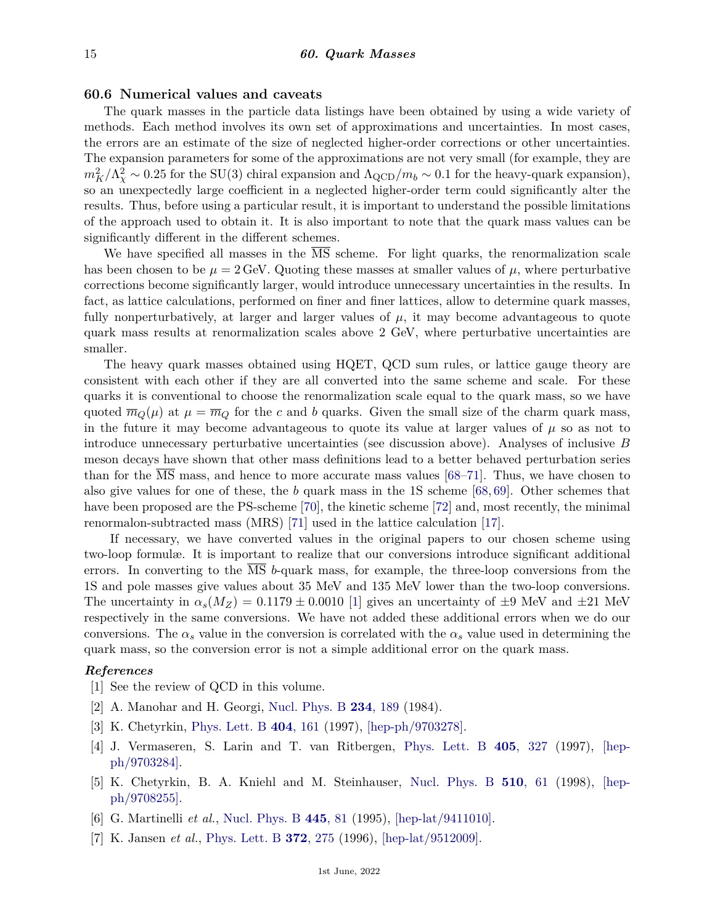# **60.6 Numerical values and caveats**

The quark masses in the particle data listings have been obtained by using a wide variety of methods. Each method involves its own set of approximations and uncertainties. In most cases, the errors are an estimate of the size of neglected higher-order corrections or other uncertainties. The expansion parameters for some of the approximations are not very small (for example, they are  $m_K^2/\Lambda_\chi^2 \sim 0.25$  for the SU(3) chiral expansion and  $\Lambda_{\rm QCD}/m_b \sim 0.1$  for the heavy-quark expansion), so an unexpectedly large coefficient in a neglected higher-order term could significantly alter the results. Thus, before using a particular result, it is important to understand the possible limitations of the approach used to obtain it. It is also important to note that the quark mass values can be significantly different in the different schemes.

We have specified all masses in the MS scheme. For light quarks, the renormalization scale has been chosen to be  $\mu = 2 \text{ GeV}$ . Quoting these masses at smaller values of  $\mu$ , where perturbative corrections become significantly larger, would introduce unnecessary uncertainties in the results. In fact, as lattice calculations, performed on finer and finer lattices, allow to determine quark masses, fully nonperturbatively, at larger and larger values of  $\mu$ , it may become advantageous to quote quark mass results at renormalization scales above 2 GeV, where perturbative uncertainties are smaller.

The heavy quark masses obtained using HQET, QCD sum rules, or lattice gauge theory are consistent with each other if they are all converted into the same scheme and scale. For these quarks it is conventional to choose the renormalization scale equal to the quark mass, so we have quoted  $\overline{m}_Q(\mu)$  at  $\mu = \overline{m}_Q$  for the *c* and *b* quarks. Given the small size of the charm quark mass, in the future it may become advantageous to quote its value at larger values of  $\mu$  so as not to introduce unnecessary perturbative uncertainties (see discussion above). Analyses of inclusive *B* meson decays have shown that other mass definitions lead to a better behaved perturbation series than for the MS mass, and hence to more accurate mass values [\[68](#page-16-20)[–71\]](#page-16-21). Thus, we have chosen to also give values for one of these, the *b* quark mass in the 1S scheme [\[68,](#page-16-20) [69\]](#page-16-22). Other schemes that have been proposed are the PS-scheme [\[70\]](#page-16-23), the kinetic scheme [\[72\]](#page-16-24) and, most recently, the minimal renormalon-subtracted mass (MRS) [\[71\]](#page-16-21) used in the lattice calculation [\[17\]](#page-15-12).

If necessary, we have converted values in the original papers to our chosen scheme using two-loop formulæ. It is important to realize that our conversions introduce significant additional errors. In converting to the MS *b*-quark mass, for example, the three-loop conversions from the 1S and pole masses give values about 35 MeV and 135 MeV lower than the two-loop conversions. The uncertainty in  $\alpha_s(M_Z) = 0.1179 \pm 0.0010$  [\[1\]](#page-14-0) gives an uncertainty of  $\pm 9$  MeV and  $\pm 21$  MeV respectively in the same conversions. We have not added these additional errors when we do our conversions. The  $\alpha_s$  value in the conversion is correlated with the  $\alpha_s$  value used in determining the quark mass, so the conversion error is not a simple additional error on the quark mass.

### <span id="page-14-0"></span>*References*

- [1] See the review of QCD in this volume.
- <span id="page-14-1"></span>[2] A. Manohar and H. Georgi, [Nucl. Phys. B](http://doi.org/10.1016/0550-3213(84)90231-1) **234**[, 189](http://doi.org/10.1016/0550-3213(84)90231-1) (1984).
- <span id="page-14-2"></span>[3] K. Chetyrkin, [Phys. Lett. B](http://doi.org/10.1016/S0370-2693(97)00535-2) **404**[, 161](http://doi.org/10.1016/S0370-2693(97)00535-2) (1997), [\[hep-ph/9703278\].](https://arxiv.org/abs/hep-ph/9703278)
- <span id="page-14-3"></span>[4] J. Vermaseren, S. Larin and T. van Ritbergen, [Phys. Lett. B](http://doi.org/10.1016/S0370-2693(97)00660-6) **405**[, 327](http://doi.org/10.1016/S0370-2693(97)00660-6) (1997), [\[hep](https://arxiv.org/abs/hep-ph/9703284)[ph/9703284\].](https://arxiv.org/abs/hep-ph/9703284)
- <span id="page-14-4"></span>[5] K. Chetyrkin, B. A. Kniehl and M. Steinhauser, [Nucl. Phys. B](http://doi.org/10.1016/S0550-3213(97)00649-4) **510**[, 61](http://doi.org/10.1016/S0550-3213(97)00649-4) (1998), [\[hep](https://arxiv.org/abs/hep-ph/9708255)[ph/9708255\].](https://arxiv.org/abs/hep-ph/9708255)
- <span id="page-14-6"></span><span id="page-14-5"></span>[6] G. Martinelli *et al.*, [Nucl. Phys. B](http://doi.org/10.1016/0550-3213(95)00126-D) **[445](http://doi.org/10.1016/0550-3213(95)00126-D)**, 81 (1995), [\[hep-lat/9411010\].](https://arxiv.org/abs/hep-lat/9411010)
- [7] K. Jansen *et al.*, [Phys. Lett. B](http://doi.org/10.1016/0370-2693(96)00075-5) **372**[, 275](http://doi.org/10.1016/0370-2693(96)00075-5) (1996), [\[hep-lat/9512009\].](https://arxiv.org/abs/hep-lat/9512009)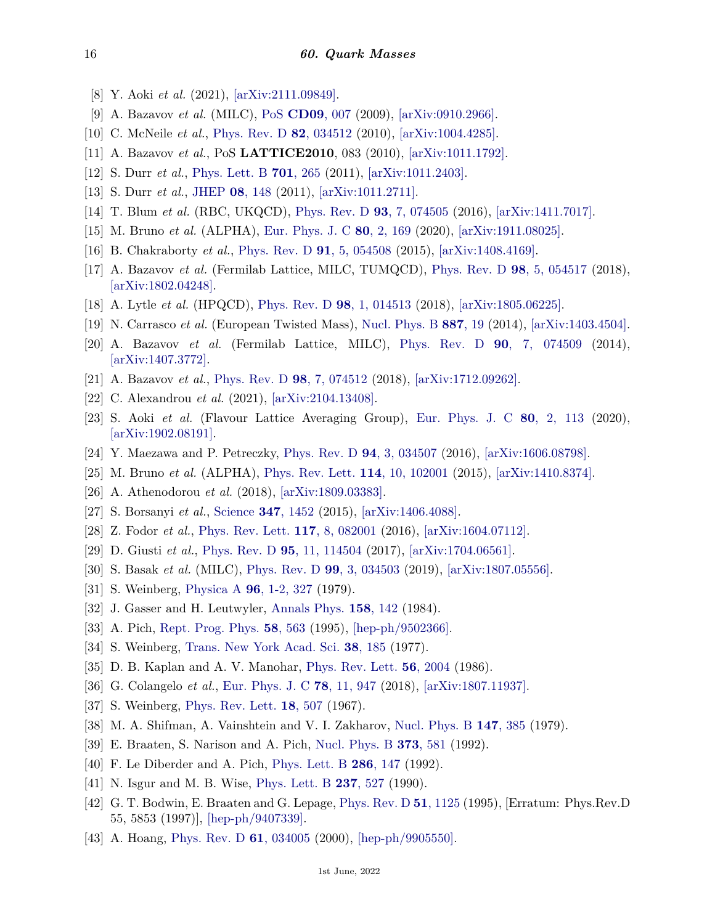- <span id="page-15-0"></span>[8] Y. Aoki *et al.* (2021), [\[arXiv:2111.09849\].](https://arxiv.org/abs/2111.09849)
- <span id="page-15-1"></span>[9] A. Bazavov *et al.* (MILC), [PoS](http://doi.org/10.22323/1.086.0007) **[CD09](http://doi.org/10.22323/1.086.0007)**, 007 (2009), [\[arXiv:0910.2966\].](https://arxiv.org/abs/0910.2966)
- <span id="page-15-27"></span>[10] C. McNeile *et al.*, [Phys. Rev. D](http://doi.org/10.1103/PhysRevD.82.034512) **82**[, 034512](http://doi.org/10.1103/PhysRevD.82.034512) (2010), [\[arXiv:1004.4285\].](https://arxiv.org/abs/1004.4285)
- [11] A. Bazavov *et al.*, PoS **LATTICE2010**, 083 (2010), [\[arXiv:1011.1792\].](https://arxiv.org/abs/1011.1792)
- [12] S. Durr *et al.*, [Phys. Lett. B](http://doi.org/10.1016/j.physletb.2011.05.053) **701**[, 265](http://doi.org/10.1016/j.physletb.2011.05.053) (2011), [\[arXiv:1011.2403\].](https://arxiv.org/abs/1011.2403)
- [13] S. Durr *et al.*, [JHEP](http://doi.org/10.1007/JHEP08(2011)148) **08**[, 148](http://doi.org/10.1007/JHEP08(2011)148) (2011), [\[arXiv:1011.2711\].](https://arxiv.org/abs/1011.2711)
- [14] T. Blum *et al.* (RBC, UKQCD), [Phys. Rev. D](http://doi.org/10.1103/PhysRevD.93.074505) **93**[, 7, 074505](http://doi.org/10.1103/PhysRevD.93.074505) (2016), [\[arXiv:1411.7017\].](https://arxiv.org/abs/1411.7017)
- <span id="page-15-2"></span>[15] M. Bruno *et al.* (ALPHA), [Eur. Phys. J. C](http://doi.org/10.1140/epjc/s10052-020-7698-z) **80**[, 2, 169](http://doi.org/10.1140/epjc/s10052-020-7698-z) (2020), [\[arXiv:1911.08025\].](https://arxiv.org/abs/1911.08025)
- <span id="page-15-3"></span>[16] B. Chakraborty *et al.*, [Phys. Rev. D](http://doi.org/10.1103/PhysRevD.91.054508) **91**[, 5, 054508](http://doi.org/10.1103/PhysRevD.91.054508) (2015), [\[arXiv:1408.4169\].](https://arxiv.org/abs/1408.4169)
- <span id="page-15-12"></span>[17] A. Bazavov *et al.* (Fermilab Lattice, MILC, TUMQCD), [Phys. Rev. D](http://doi.org/10.1103/PhysRevD.98.054517) **98**[, 5, 054517](http://doi.org/10.1103/PhysRevD.98.054517) (2018), [\[arXiv:1802.04248\].](https://arxiv.org/abs/1802.04248)
- <span id="page-15-29"></span><span id="page-15-28"></span>[18] A. Lytle *et al.* (HPQCD), [Phys. Rev. D](http://doi.org/10.1103/PhysRevD.98.014513) **98**[, 1, 014513](http://doi.org/10.1103/PhysRevD.98.014513) (2018), [\[arXiv:1805.06225\].](https://arxiv.org/abs/1805.06225)
- [19] N. Carrasco *et al.* (European Twisted Mass), [Nucl. Phys. B](http://doi.org/10.1016/j.nuclphysb.2014.07.025) **[887](http://doi.org/10.1016/j.nuclphysb.2014.07.025)**, 19 (2014), [\[arXiv:1403.4504\].](https://arxiv.org/abs/1403.4504)
- [20] A. Bazavov *et al.* (Fermilab Lattice, MILC), [Phys. Rev. D](http://doi.org/10.1103/PhysRevD.90.074509) **90**[, 7, 074509](http://doi.org/10.1103/PhysRevD.90.074509) (2014), [\[arXiv:1407.3772\].](https://arxiv.org/abs/1407.3772)
- <span id="page-15-4"></span>[21] A. Bazavov *et al.*, [Phys. Rev. D](http://doi.org/10.1103/PhysRevD.98.074512) **98**[, 7, 074512](http://doi.org/10.1103/PhysRevD.98.074512) (2018), [\[arXiv:1712.09262\].](https://arxiv.org/abs/1712.09262)
- <span id="page-15-5"></span>[22] C. Alexandrou *et al.* (2021), [\[arXiv:2104.13408\].](https://arxiv.org/abs/2104.13408)
- <span id="page-15-6"></span>[23] S. Aoki *et al.* (Flavour Lattice Averaging Group), [Eur. Phys. J. C](http://doi.org/10.1140/epjc/s10052-019-7354-7) **80**[, 2, 113](http://doi.org/10.1140/epjc/s10052-019-7354-7) (2020), [\[arXiv:1902.08191\].](https://arxiv.org/abs/1902.08191)
- <span id="page-15-8"></span><span id="page-15-7"></span>[24] Y. Maezawa and P. Petreczky, [Phys. Rev. D](http://doi.org/10.1103/PhysRevD.94.034507) **94**[, 3, 034507](http://doi.org/10.1103/PhysRevD.94.034507) (2016), [\[arXiv:1606.08798\].](https://arxiv.org/abs/1606.08798)
- [25] M. Bruno *et al.* (ALPHA), [Phys. Rev. Lett.](http://doi.org/10.1103/PhysRevLett.114.102001) **114**[, 10, 102001](http://doi.org/10.1103/PhysRevLett.114.102001) (2015), [\[arXiv:1410.8374\].](https://arxiv.org/abs/1410.8374)
- <span id="page-15-9"></span>[26] A. Athenodorou *et al.* (2018), [\[arXiv:1809.03383\].](https://arxiv.org/abs/1809.03383)
- <span id="page-15-10"></span>[27] S. Borsanyi *et al.*, [Science](http://doi.org/10.1126/science.1257050) **347**[, 1452](http://doi.org/10.1126/science.1257050) (2015), [\[arXiv:1406.4088\].](https://arxiv.org/abs/1406.4088)
- <span id="page-15-11"></span>[28] Z. Fodor *et al.*, [Phys. Rev. Lett.](http://doi.org/10.1103/PhysRevLett.117.082001) **117**[, 8, 082001](http://doi.org/10.1103/PhysRevLett.117.082001) (2016), [\[arXiv:1604.07112\].](https://arxiv.org/abs/1604.07112)
- <span id="page-15-13"></span>[29] D. Giusti *et al.*, [Phys. Rev. D](http://doi.org/10.1103/PhysRevD.95.114504) **95**[, 11, 114504](http://doi.org/10.1103/PhysRevD.95.114504) (2017), [\[arXiv:1704.06561\].](https://arxiv.org/abs/1704.06561)
- <span id="page-15-14"></span>[30] S. Basak *et al.* (MILC), [Phys. Rev. D](http://doi.org/10.1103/PhysRevD.99.034503) **99**[, 3, 034503](http://doi.org/10.1103/PhysRevD.99.034503) (2019), [\[arXiv:1807.05556\].](https://arxiv.org/abs/1807.05556)
- <span id="page-15-15"></span>[31] S. Weinberg, [Physica A](http://doi.org/10.1016/0378-4371(79)90223-1) **96**[, 1-2, 327](http://doi.org/10.1016/0378-4371(79)90223-1) (1979).
- [32] J. Gasser and H. Leutwyler, [Annals Phys.](http://doi.org/10.1016/0003-4916(84)90242-2) **158**[, 142](http://doi.org/10.1016/0003-4916(84)90242-2) (1984).
- <span id="page-15-16"></span>[33] A. Pich, [Rept. Prog. Phys.](http://doi.org/10.1088/0034-4885/58/6/001) **58**[, 563](http://doi.org/10.1088/0034-4885/58/6/001) (1995), [\[hep-ph/9502366\].](https://arxiv.org/abs/hep-ph/9502366)
- <span id="page-15-17"></span>[34] S. Weinberg, [Trans. New York Acad. Sci.](http://doi.org/10.1111/j.2164-0947.1977.tb02958.x) **38**[, 185](http://doi.org/10.1111/j.2164-0947.1977.tb02958.x) (1977).
- <span id="page-15-18"></span>[35] D. B. Kaplan and A. V. Manohar, [Phys. Rev. Lett.](http://doi.org/10.1103/PhysRevLett.56.2004) **56**[, 2004](http://doi.org/10.1103/PhysRevLett.56.2004) (1986).
- <span id="page-15-19"></span>[36] G. Colangelo *et al.*, [Eur. Phys. J. C](http://doi.org/10.1140/epjc/s10052-018-6377-9) **78**[, 11, 947](http://doi.org/10.1140/epjc/s10052-018-6377-9) (2018), [\[arXiv:1807.11937\].](https://arxiv.org/abs/1807.11937)
- <span id="page-15-20"></span>[37] S. Weinberg, [Phys. Rev. Lett.](http://doi.org/10.1103/PhysRevLett.18.507) **18**[, 507](http://doi.org/10.1103/PhysRevLett.18.507) (1967).
- <span id="page-15-21"></span>[38] M. A. Shifman, A. Vainshtein and V. I. Zakharov, [Nucl. Phys. B](http://doi.org/10.1016/0550-3213(79)90022-1) **147**[, 385](http://doi.org/10.1016/0550-3213(79)90022-1) (1979).
- <span id="page-15-22"></span>[39] E. Braaten, S. Narison and A. Pich, [Nucl. Phys. B](http://doi.org/10.1016/0550-3213(92)90267-F) **373**[, 581](http://doi.org/10.1016/0550-3213(92)90267-F) (1992).
- <span id="page-15-23"></span>[40] F. Le Diberder and A. Pich, [Phys. Lett. B](http://doi.org/10.1016/0370-2693(92)90172-Z) **286**[, 147](http://doi.org/10.1016/0370-2693(92)90172-Z) (1992).
- <span id="page-15-24"></span>[41] N. Isgur and M. B. Wise, [Phys. Lett. B](http://doi.org/10.1016/0370-2693(90)91219-2) **237**[, 527](http://doi.org/10.1016/0370-2693(90)91219-2) (1990).
- <span id="page-15-25"></span>[42] G. T. Bodwin, E. Braaten and G. Lepage, [Phys. Rev. D](http://doi.org/10.1103/PhysRevD.55.5853) **51**[, 1125](http://doi.org/10.1103/PhysRevD.55.5853) (1995), [Erratum: Phys.Rev.D 55, 5853 (1997)], [\[hep-ph/9407339\].](https://arxiv.org/abs/hep-ph/9407339)
- <span id="page-15-26"></span>[43] A. Hoang, [Phys. Rev. D](http://doi.org/10.1103/PhysRevD.61.034005) **61**[, 034005](http://doi.org/10.1103/PhysRevD.61.034005) (2000), [\[hep-ph/9905550\].](https://arxiv.org/abs/hep-ph/9905550)